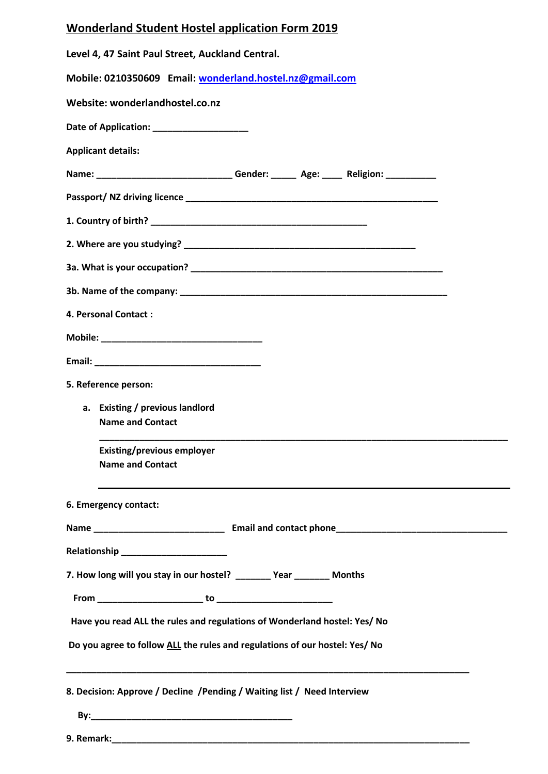| <b>Wonderland Student Hostel application Form 2019</b> |
|--------------------------------------------------------|
|--------------------------------------------------------|

| Level 4, 47 Saint Paul Street, Auckland Central.                                  |
|-----------------------------------------------------------------------------------|
| Mobile: 0210350609 Email: wonderland.hostel.nz@gmail.com                          |
| Website: wonderlandhostel.co.nz                                                   |
|                                                                                   |
| <b>Applicant details:</b>                                                         |
| Name: _____________________________Gender: ______ Age: _____ Religion: __________ |
|                                                                                   |
|                                                                                   |
|                                                                                   |
|                                                                                   |
|                                                                                   |
| 4. Personal Contact:                                                              |
|                                                                                   |
|                                                                                   |
| 5. Reference person:                                                              |
| a. Existing / previous landlord<br><b>Name and Contact</b>                        |
| <b>Existing/previous employer</b><br><b>Name and Contact</b>                      |
| 6. Emergency contact:                                                             |
|                                                                                   |
|                                                                                   |
| 7. How long will you stay in our hostel? ________ Year _______ Months             |
|                                                                                   |
| Have you read ALL the rules and regulations of Wonderland hostel: Yes/ No         |
| Do you agree to follow ALL the rules and regulations of our hostel: Yes/ No       |
| 8. Decision: Approve / Decline / Pending / Waiting list / Need Interview          |
|                                                                                   |
|                                                                                   |

 $\overline{\phantom{a}}$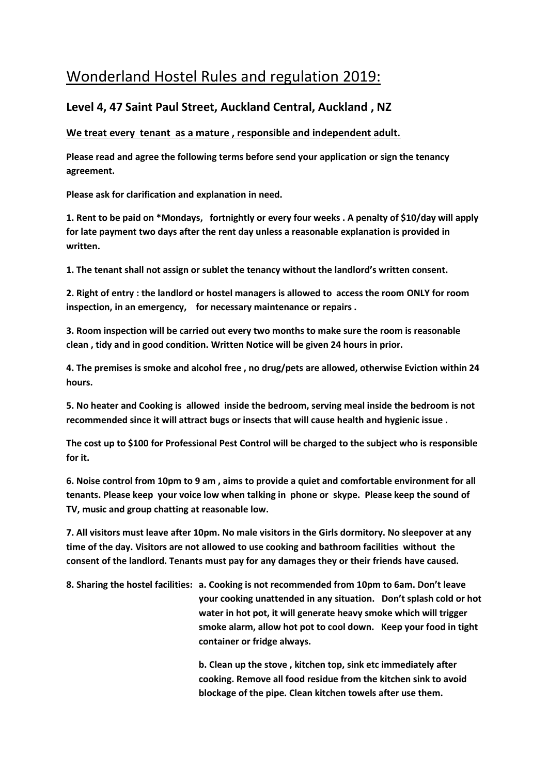## Wonderland Hostel Rules and regulation 2019:

## **Level 4, 47 Saint Paul Street, Auckland Central, Auckland , NZ**

## **We treat every tenant as a mature , responsible and independent adult.**

**Please read and agree the following terms before send your application or sign the tenancy agreement.**

**Please ask for clarification and explanation in need.**

**1. Rent to be paid on \*Mondays, fortnightly or every four weeks . A penalty of \$10/day will apply for late payment two days after the rent day unless a reasonable explanation is provided in written.**

**1. The tenant shall not assign or sublet the tenancy without the landlord's written consent.**

**2. Right of entry : the landlord or hostel managers is allowed to access the room ONLY for room inspection, in an emergency, for necessary maintenance or repairs .**

**3. Room inspection will be carried out every two months to make sure the room is reasonable clean , tidy and in good condition. Written Notice will be given 24 hours in prior.**

**4. The premises is smoke and alcohol free , no drug/pets are allowed, otherwise Eviction within 24 hours.**

**5. No heater and Cooking is allowed inside the bedroom, serving meal inside the bedroom is not recommended since it will attract bugs or insects that will cause health and hygienic issue .** 

**The cost up to \$100 for Professional Pest Control will be charged to the subject who is responsible for it.** 

**6. Noise control from 10pm to 9 am , aims to provide a quiet and comfortable environment for all tenants. Please keep your voice low when talking in phone or skype. Please keep the sound of TV, music and group chatting at reasonable low.**

**7. All visitors must leave after 10pm. No male visitors in the Girls dormitory. No sleepover at any time of the day. Visitors are not allowed to use cooking and bathroom facilities without the consent of the landlord. Tenants must pay for any damages they or their friends have caused.**

**8. Sharing the hostel facilities: a. Cooking is not recommended from 10pm to 6am. Don't leave your cooking unattended in any situation. Don't splash cold or hot water in hot pot, it will generate heavy smoke which will trigger smoke alarm, allow hot pot to cool down. Keep your food in tight container or fridge always.**

> **b. Clean up the stove , kitchen top, sink etc immediately after cooking. Remove all food residue from the kitchen sink to avoid blockage of the pipe. Clean kitchen towels after use them.**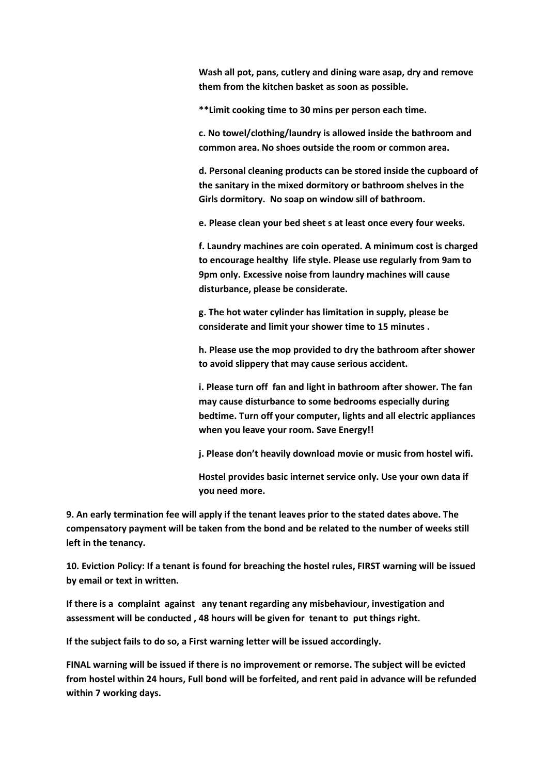**Wash all pot, pans, cutlery and dining ware asap, dry and remove them from the kitchen basket as soon as possible.**

**\*\*Limit cooking time to 30 mins per person each time.**

**c. No towel/clothing/laundry is allowed inside the bathroom and common area. No shoes outside the room or common area.**

**d. Personal cleaning products can be stored inside the cupboard of the sanitary in the mixed dormitory or bathroom shelves in the Girls dormitory. No soap on window sill of bathroom.**

**e. Please clean your bed sheet s at least once every four weeks.**

**f. Laundry machines are coin operated. A minimum cost is charged to encourage healthy life style. Please use regularly from 9am to 9pm only. Excessive noise from laundry machines will cause disturbance, please be considerate.**

**g. The hot water cylinder has limitation in supply, please be considerate and limit your shower time to 15 minutes .**

**h. Please use the mop provided to dry the bathroom after shower to avoid slippery that may cause serious accident.**

**i. Please turn off fan and light in bathroom after shower. The fan may cause disturbance to some bedrooms especially during bedtime. Turn off your computer, lights and all electric appliances when you leave your room. Save Energy!!**

**j. Please don't heavily download movie or music from hostel wifi.**

**Hostel provides basic internet service only. Use your own data if you need more.**

**9. An early termination fee will apply if the tenant leaves prior to the stated dates above. The compensatory payment will be taken from the bond and be related to the number of weeks still left in the tenancy.**

**10. Eviction Policy: If a tenant is found for breaching the hostel rules, FIRST warning will be issued by email or text in written.**

**If there is a complaint against any tenant regarding any misbehaviour, investigation and assessment will be conducted , 48 hours will be given for tenant to put things right.** 

**If the subject fails to do so, a First warning letter will be issued accordingly.** 

**FINAL warning will be issued if there is no improvement or remorse. The subject will be evicted from hostel within 24 hours, Full bond will be forfeited, and rent paid in advance will be refunded within 7 working days.**